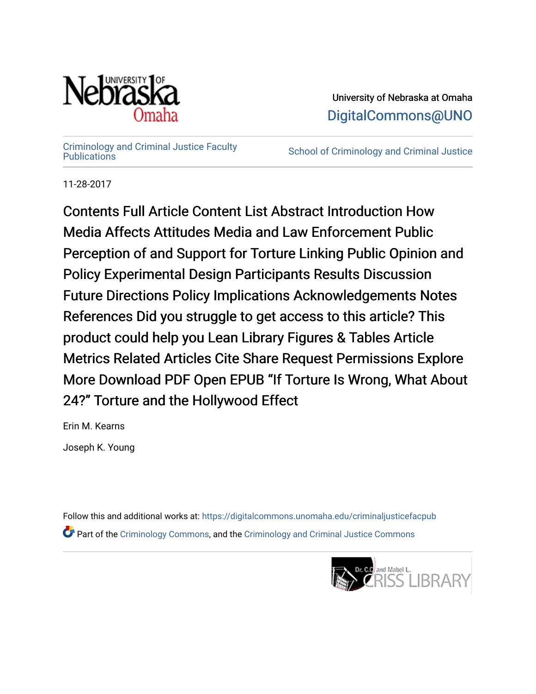

University of Nebraska at Omaha [DigitalCommons@UNO](https://digitalcommons.unomaha.edu/) 

[Criminology and Criminal Justice Faculty](https://digitalcommons.unomaha.edu/criminaljusticefacpub)

School of Criminology and Criminal Justice

11-28-2017

Contents Full Article Content List Abstract Introduction How Media Affects Attitudes Media and Law Enforcement Public Perception of and Support for Torture Linking Public Opinion and Policy Experimental Design Participants Results Discussion Future Directions Policy Implications Acknowledgements Notes References Did you struggle to get access to this article? This product could help you Lean Library Figures & Tables Article Metrics Related Articles Cite Share Request Permissions Explore More Download PDF Open EPUB "If Torture Is Wrong, What About 24?" Torture and the Hollywood Effect

Erin M. Kearns Joseph K. Young

Follow this and additional works at: [https://digitalcommons.unomaha.edu/criminaljusticefacpub](https://digitalcommons.unomaha.edu/criminaljusticefacpub?utm_source=digitalcommons.unomaha.edu%2Fcriminaljusticefacpub%2F117&utm_medium=PDF&utm_campaign=PDFCoverPages)  Part of the [Criminology Commons](https://network.bepress.com/hgg/discipline/417?utm_source=digitalcommons.unomaha.edu%2Fcriminaljusticefacpub%2F117&utm_medium=PDF&utm_campaign=PDFCoverPages), and the [Criminology and Criminal Justice Commons](https://network.bepress.com/hgg/discipline/367?utm_source=digitalcommons.unomaha.edu%2Fcriminaljusticefacpub%2F117&utm_medium=PDF&utm_campaign=PDFCoverPages)

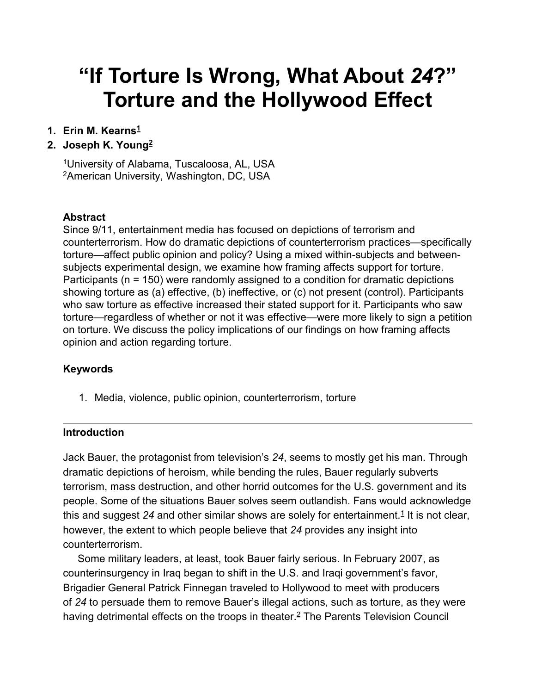# **"If Torture Is Wrong, What About** *24***?" Torture and the Hollywood Effect**

# **1. Erin M. Kearn[s1](https://journals.sagepub.com/reader/content/1762545c3a7/10.1177/0011128717738230/format/epub/EPUB/xhtml/index.xhtml#aff1-0011128717738230)**

# **2. Joseph K. Youn[g2](https://journals.sagepub.com/reader/content/1762545c3a7/10.1177/0011128717738230/format/epub/EPUB/xhtml/index.xhtml#aff2-0011128717738230)**

1University of Alabama, Tuscaloosa, AL, USA 2American University, Washington, DC, USA

## **Abstract**

Since 9/11, entertainment media has focused on depictions of terrorism and counterterrorism. How do dramatic depictions of counterterrorism practices—specifically torture—affect public opinion and policy? Using a mixed within-subjects and betweensubjects experimental design, we examine how framing affects support for torture. Participants (n = 150) were randomly assigned to a condition for dramatic depictions showing torture as (a) effective, (b) ineffective, or (c) not present (control). Participants who saw torture as effective increased their stated support for it. Participants who saw torture—regardless of whether or not it was effective—were more likely to sign a petition on torture. We discuss the policy implications of our findings on how framing affects opinion and action regarding torture.

## **Keywords**

1. Media, violence, public opinion, counterterrorism, torture

## **Introduction**

Jack Bauer, the protagonist from television's *24*, seems to mostly get his man. Through dramatic depictions of heroism, while bending the rules, Bauer regularly subverts terrorism, mass destruction, and other horrid outcomes for the U.S. government and its people. Some of the situations Bauer solves seem outlandish. Fans would acknowledge this and suggest 24 and other similar shows are solely for entertainment.<sup>1</sup> It is not clear, however, the extent to which people believe that *24* provides any insight into counterterrorism.

Some military leaders, at least, took Bauer fairly serious. In February 2007, as counterinsurgency in Iraq began to shift in the U.S. and Iraqi government's favor, Brigadier General Patrick Finnegan traveled to Hollywood to meet with producers of *24* to persuade them to remove Bauer's illegal actions, such as torture, as they were having detrimental effects on the troops in theater.<sup>2</sup> The Parents Television Council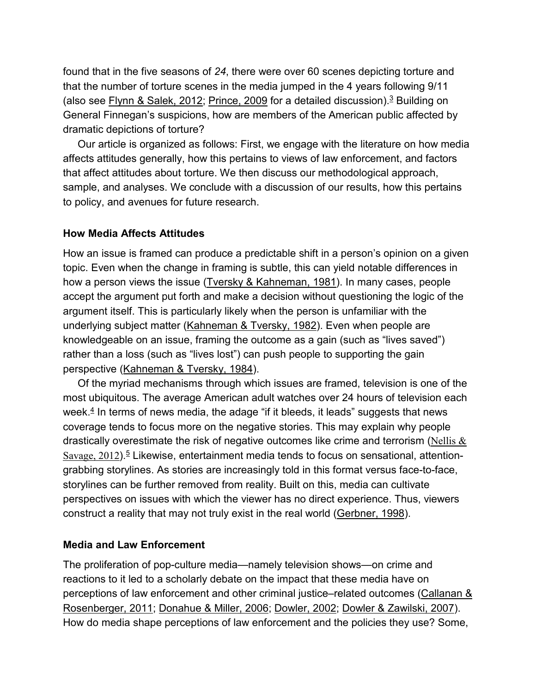found that in the five seasons of *24*, there were over 60 scenes depicting torture and that the number of torture scenes in the media jumped in the 4 years following 9/11 (also see [Flynn & Salek, 2012;](https://journals.sagepub.com/reader/content/1762545c3a7/10.1177/0011128717738230/format/epub/EPUB/xhtml/index.xhtml#bibr19-0011128717738230) [Prince, 2009](https://journals.sagepub.com/reader/content/1762545c3a7/10.1177/0011128717738230/format/epub/EPUB/xhtml/index.xhtml#bibr48-0011128717738230) for a detailed discussion).<sup>3</sup> Building on General Finnegan's suspicions, how are members of the American public affected by dramatic depictions of torture?

Our article is organized as follows: First, we engage with the literature on how media affects attitudes generally, how this pertains to views of law enforcement, and factors that affect attitudes about torture. We then discuss our methodological approach, sample, and analyses. We conclude with a discussion of our results, how this pertains to policy, and avenues for future research.

#### **How Media Affects Attitudes**

How an issue is framed can produce a predictable shift in a person's opinion on a given topic. Even when the change in framing is subtle, this can yield notable differences in how a person views the issue [\(Tversky & Kahneman, 1981\)](https://journals.sagepub.com/reader/content/1762545c3a7/10.1177/0011128717738230/format/epub/EPUB/xhtml/index.xhtml#bibr59-0011128717738230). In many cases, people accept the argument put forth and make a decision without questioning the logic of the argument itself. This is particularly likely when the person is unfamiliar with the underlying subject matter [\(Kahneman & Tversky, 1982\)](https://journals.sagepub.com/reader/content/1762545c3a7/10.1177/0011128717738230/format/epub/EPUB/xhtml/index.xhtml#bibr33-0011128717738230). Even when people are knowledgeable on an issue, framing the outcome as a gain (such as "lives saved") rather than a loss (such as "lives lost") can push people to supporting the gain perspective [\(Kahneman & Tversky, 1984\)](https://journals.sagepub.com/reader/content/1762545c3a7/10.1177/0011128717738230/format/epub/EPUB/xhtml/index.xhtml#bibr34-0011128717738230).

Of the myriad mechanisms through which issues are framed, television is one of the most ubiquitous. The average American adult watches over 24 hours of television each week. $4$  In terms of news media, the adage "if it bleeds, it leads" suggests that news coverage tends to focus more on the negative stories. This may explain why people drastically overestimate the risk of negative outcomes like crime and terrorism (Nellis  $\&$ Savage,  $2012$ ).<sup>5</sup> Likewise, entertainment media tends to focus on sensational, attentiongrabbing storylines. As stories are increasingly told in this format versus face-to-face, storylines can be further removed from reality. Built on this, media can cultivate perspectives on issues with which the viewer has no direct experience. Thus, viewers construct a reality that may not truly exist in the real world [\(Gerbner, 1998\)](https://journals.sagepub.com/reader/content/1762545c3a7/10.1177/0011128717738230/format/epub/EPUB/xhtml/index.xhtml#bibr22-0011128717738230).

## **Media and Law Enforcement**

The proliferation of pop-culture media—namely television shows—on crime and reactions to it led to a scholarly debate on the impact that these media have on perceptions of law enforcement and other criminal justice–related outcomes [\(Callanan &](https://journals.sagepub.com/reader/content/1762545c3a7/10.1177/0011128717738230/format/epub/EPUB/xhtml/index.xhtml#bibr6-0011128717738230)  [Rosenberger, 2011;](https://journals.sagepub.com/reader/content/1762545c3a7/10.1177/0011128717738230/format/epub/EPUB/xhtml/index.xhtml#bibr6-0011128717738230) [Donahue & Miller, 2006;](https://journals.sagepub.com/reader/content/1762545c3a7/10.1177/0011128717738230/format/epub/EPUB/xhtml/index.xhtml#bibr12-0011128717738230) [Dowler, 2002;](https://journals.sagepub.com/reader/content/1762545c3a7/10.1177/0011128717738230/format/epub/EPUB/xhtml/index.xhtml#bibr14-0011128717738230) [Dowler & Zawilski, 2007\)](https://journals.sagepub.com/reader/content/1762545c3a7/10.1177/0011128717738230/format/epub/EPUB/xhtml/index.xhtml#bibr15-0011128717738230). How do media shape perceptions of law enforcement and the policies they use? Some,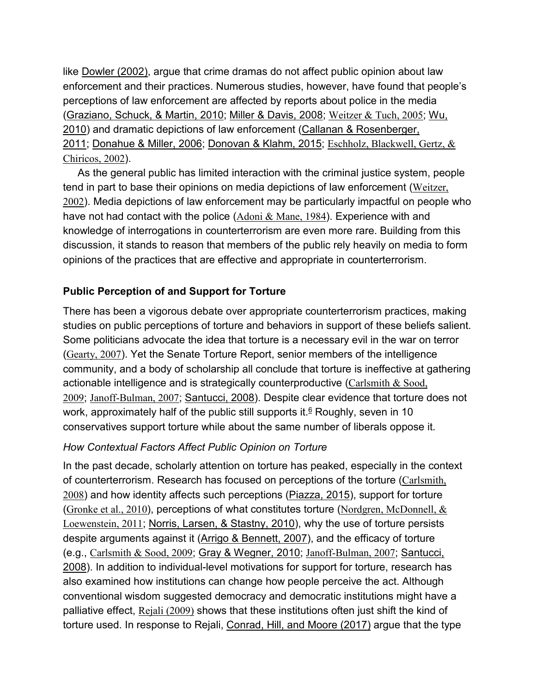like [Dowler \(2002\),](https://journals.sagepub.com/reader/content/1762545c3a7/10.1177/0011128717738230/format/epub/EPUB/xhtml/index.xhtml#bibr14-0011128717738230) argue that crime dramas do not affect public opinion about law enforcement and their practices. Numerous studies, however, have found that people's perceptions of law enforcement are affected by reports about police in the media [\(Graziano, Schuck, & Martin, 2010;](https://journals.sagepub.com/reader/content/1762545c3a7/10.1177/0011128717738230/format/epub/EPUB/xhtml/index.xhtml#bibr26-0011128717738230) [Miller & Davis, 2008;](https://journals.sagepub.com/reader/content/1762545c3a7/10.1177/0011128717738230/format/epub/EPUB/xhtml/index.xhtml#bibr37-0011128717738230) [Weitzer & Tuch, 2005](https://journals.sagepub.com/reader/content/1762545c3a7/10.1177/0011128717738230/format/epub/EPUB/xhtml/index.xhtml#bibr63-0011128717738230); [Wu,](https://journals.sagepub.com/reader/content/1762545c3a7/10.1177/0011128717738230/format/epub/EPUB/xhtml/index.xhtml#bibr64-0011128717738230)  [2010\)](https://journals.sagepub.com/reader/content/1762545c3a7/10.1177/0011128717738230/format/epub/EPUB/xhtml/index.xhtml#bibr64-0011128717738230) and dramatic depictions of law enforcement (Callanan & Rosenberger, [2011;](https://journals.sagepub.com/reader/content/1762545c3a7/10.1177/0011128717738230/format/epub/EPUB/xhtml/index.xhtml#bibr6-0011128717738230) [Donahue & Miller, 2006;](https://journals.sagepub.com/reader/content/1762545c3a7/10.1177/0011128717738230/format/epub/EPUB/xhtml/index.xhtml#bibr12-0011128717738230) [Donovan & Klahm, 2015;](https://journals.sagepub.com/reader/content/1762545c3a7/10.1177/0011128717738230/format/epub/EPUB/xhtml/index.xhtml#bibr13-0011128717738230) [Eschholz, Blackwell, Gertz, &](https://journals.sagepub.com/reader/content/1762545c3a7/10.1177/0011128717738230/format/epub/EPUB/xhtml/index.xhtml#bibr17-0011128717738230)  [Chiricos, 2002](https://journals.sagepub.com/reader/content/1762545c3a7/10.1177/0011128717738230/format/epub/EPUB/xhtml/index.xhtml#bibr17-0011128717738230)).

As the general public has limited interaction with the criminal justice system, people tend in part to base their opinions on media depictions of law enforcement ([Weitzer,](https://journals.sagepub.com/reader/content/1762545c3a7/10.1177/0011128717738230/format/epub/EPUB/xhtml/index.xhtml#bibr62-0011128717738230)  [2002](https://journals.sagepub.com/reader/content/1762545c3a7/10.1177/0011128717738230/format/epub/EPUB/xhtml/index.xhtml#bibr62-0011128717738230)). Media depictions of law enforcement may be particularly impactful on people who have not had contact with the police  $(Adoni & Mane, 1984)$  $(Adoni & Mane, 1984)$  $(Adoni & Mane, 1984)$ . Experience with and knowledge of interrogations in counterterrorism are even more rare. Building from this discussion, it stands to reason that members of the public rely heavily on media to form opinions of the practices that are effective and appropriate in counterterrorism.

# **Public Perception of and Support for Torture**

There has been a vigorous debate over appropriate counterterrorism practices, making studies on public perceptions of torture and behaviors in support of these beliefs salient. Some politicians advocate the idea that torture is a necessary evil in the war on terror ([Gearty, 2007](https://journals.sagepub.com/reader/content/1762545c3a7/10.1177/0011128717738230/format/epub/EPUB/xhtml/index.xhtml#bibr21-0011128717738230)). Yet the Senate Torture Report, senior members of the intelligence community, and a body of scholarship all conclude that torture is ineffective at gathering actionable intelligence and is strategically counterproductive ([Carlsmith & Sood,](https://journals.sagepub.com/reader/content/1762545c3a7/10.1177/0011128717738230/format/epub/EPUB/xhtml/index.xhtml#bibr8-0011128717738230)  [2009](https://journals.sagepub.com/reader/content/1762545c3a7/10.1177/0011128717738230/format/epub/EPUB/xhtml/index.xhtml#bibr8-0011128717738230); [Janoff-Bulman, 2007](https://journals.sagepub.com/reader/content/1762545c3a7/10.1177/0011128717738230/format/epub/EPUB/xhtml/index.xhtml#bibr32-0011128717738230); [Santucci, 2008\)](https://journals.sagepub.com/reader/content/1762545c3a7/10.1177/0011128717738230/format/epub/EPUB/xhtml/index.xhtml#bibr55-0011128717738230). Despite clear evidence that torture does not work, approximately half of the public still supports it.<sup>6</sup> Roughly, seven in 10 conservatives support torture while about the same number of liberals oppose it.

# *How Contextual Factors Affect Public Opinion on Torture*

In the past decade, scholarly attention on torture has peaked, especially in the context of counterterrorism. Research has focused on perceptions of the torture ([Carlsmith,](https://journals.sagepub.com/reader/content/1762545c3a7/10.1177/0011128717738230/format/epub/EPUB/xhtml/index.xhtml#bibr7-0011128717738230)  [2008](https://journals.sagepub.com/reader/content/1762545c3a7/10.1177/0011128717738230/format/epub/EPUB/xhtml/index.xhtml#bibr7-0011128717738230)) and how identity affects such perceptions [\(Piazza, 2015\)](https://journals.sagepub.com/reader/content/1762545c3a7/10.1177/0011128717738230/format/epub/EPUB/xhtml/index.xhtml#bibr46-0011128717738230), support for torture ([Gronke et al., 2010](https://journals.sagepub.com/reader/content/1762545c3a7/10.1177/0011128717738230/format/epub/EPUB/xhtml/index.xhtml#bibr28-0011128717738230)), perceptions of what constitutes torture ([Nordgren, McDonnell, &](https://journals.sagepub.com/reader/content/1762545c3a7/10.1177/0011128717738230/format/epub/EPUB/xhtml/index.xhtml#bibr41-0011128717738230)  [Loewenstein, 2011](https://journals.sagepub.com/reader/content/1762545c3a7/10.1177/0011128717738230/format/epub/EPUB/xhtml/index.xhtml#bibr41-0011128717738230); [Norris, Larsen, & Stastny, 2010\)](https://journals.sagepub.com/reader/content/1762545c3a7/10.1177/0011128717738230/format/epub/EPUB/xhtml/index.xhtml#bibr42-0011128717738230), why the use of torture persists despite arguments against it [\(Arrigo & Bennett, 2007\)](https://journals.sagepub.com/reader/content/1762545c3a7/10.1177/0011128717738230/format/epub/EPUB/xhtml/index.xhtml#bibr3-0011128717738230), and the efficacy of torture (e.g., [Carlsmith & Sood, 2009](https://journals.sagepub.com/reader/content/1762545c3a7/10.1177/0011128717738230/format/epub/EPUB/xhtml/index.xhtml#bibr8-0011128717738230); [Gray & Wegner, 2010;](https://journals.sagepub.com/reader/content/1762545c3a7/10.1177/0011128717738230/format/epub/EPUB/xhtml/index.xhtml#bibr25-0011128717738230) [Janoff-Bulman, 2007](https://journals.sagepub.com/reader/content/1762545c3a7/10.1177/0011128717738230/format/epub/EPUB/xhtml/index.xhtml#bibr32-0011128717738230); [Santucci,](https://journals.sagepub.com/reader/content/1762545c3a7/10.1177/0011128717738230/format/epub/EPUB/xhtml/index.xhtml#bibr55-0011128717738230)  [2008\)](https://journals.sagepub.com/reader/content/1762545c3a7/10.1177/0011128717738230/format/epub/EPUB/xhtml/index.xhtml#bibr55-0011128717738230). In addition to individual-level motivations for support for torture, research has also examined how institutions can change how people perceive the act. Although conventional wisdom suggested democracy and democratic institutions might have a palliative effect, [Rejali \(2009\)](https://journals.sagepub.com/reader/content/1762545c3a7/10.1177/0011128717738230/format/epub/EPUB/xhtml/index.xhtml#bibr50-0011128717738230) shows that these institutions often just shift the kind of torture used. In response to Rejali, [Conrad, Hill, and Moore \(2017\)](https://journals.sagepub.com/reader/content/1762545c3a7/10.1177/0011128717738230/format/epub/EPUB/xhtml/index.xhtml#bibr10-0011128717738230) argue that the type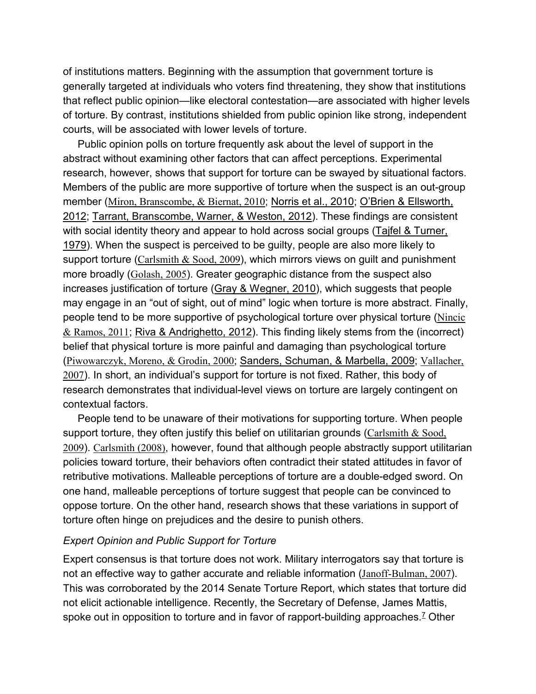of institutions matters. Beginning with the assumption that government torture is generally targeted at individuals who voters find threatening, they show that institutions that reflect public opinion—like electoral contestation—are associated with higher levels of torture. By contrast, institutions shielded from public opinion like strong, independent courts, will be associated with lower levels of torture.

Public opinion polls on torture frequently ask about the level of support in the abstract without examining other factors that can affect perceptions. Experimental research, however, shows that support for torture can be swayed by situational factors. Members of the public are more supportive of torture when the suspect is an out-group member ([Miron, Branscombe, & Biernat, 2010](https://journals.sagepub.com/reader/content/1762545c3a7/10.1177/0011128717738230/format/epub/EPUB/xhtml/index.xhtml#bibr38-0011128717738230); [Norris et al., 2010;](https://journals.sagepub.com/reader/content/1762545c3a7/10.1177/0011128717738230/format/epub/EPUB/xhtml/index.xhtml#bibr42-0011128717738230) [O'Brien & Ellsworth,](https://journals.sagepub.com/reader/content/1762545c3a7/10.1177/0011128717738230/format/epub/EPUB/xhtml/index.xhtml#bibr43-0011128717738230)  [2012;](https://journals.sagepub.com/reader/content/1762545c3a7/10.1177/0011128717738230/format/epub/EPUB/xhtml/index.xhtml#bibr43-0011128717738230) [Tarrant, Branscombe, Warner, & Weston, 2012\)](https://journals.sagepub.com/reader/content/1762545c3a7/10.1177/0011128717738230/format/epub/EPUB/xhtml/index.xhtml#bibr58-0011128717738230). These findings are consistent with social identity theory and appear to hold across social groups (Tajfel & Turner, [1979\)](https://journals.sagepub.com/reader/content/1762545c3a7/10.1177/0011128717738230/format/epub/EPUB/xhtml/index.xhtml#bibr57-0011128717738230). When the suspect is perceived to be guilty, people are also more likely to support torture  $(Carlsmith & Sood, 2009)$  $(Carlsmith & Sood, 2009)$  $(Carlsmith & Sood, 2009)$ , which mirrors views on quilt and punishment more broadly ([Golash, 2005](https://journals.sagepub.com/reader/content/1762545c3a7/10.1177/0011128717738230/format/epub/EPUB/xhtml/index.xhtml#bibr24-0011128717738230)). Greater geographic distance from the suspect also increases justification of torture [\(Gray & Wegner, 2010\)](https://journals.sagepub.com/reader/content/1762545c3a7/10.1177/0011128717738230/format/epub/EPUB/xhtml/index.xhtml#bibr25-0011128717738230), which suggests that people may engage in an "out of sight, out of mind" logic when torture is more abstract. Finally, people tend to be more supportive of psychological torture over physical torture ([Nincic](https://journals.sagepub.com/reader/content/1762545c3a7/10.1177/0011128717738230/format/epub/EPUB/xhtml/index.xhtml#bibr40-0011128717738230)  [& Ramos, 2011](https://journals.sagepub.com/reader/content/1762545c3a7/10.1177/0011128717738230/format/epub/EPUB/xhtml/index.xhtml#bibr40-0011128717738230); [Riva & Andrighetto, 2012\)](https://journals.sagepub.com/reader/content/1762545c3a7/10.1177/0011128717738230/format/epub/EPUB/xhtml/index.xhtml#bibr51-0011128717738230). This finding likely stems from the (incorrect) belief that physical torture is more painful and damaging than psychological torture ([Piwowarczyk, Moreno, & Grodin, 2000](https://journals.sagepub.com/reader/content/1762545c3a7/10.1177/0011128717738230/format/epub/EPUB/xhtml/index.xhtml#bibr47-0011128717738230); [Sanders, Schuman, & Marbella, 2009;](https://journals.sagepub.com/reader/content/1762545c3a7/10.1177/0011128717738230/format/epub/EPUB/xhtml/index.xhtml#bibr54-0011128717738230) [Vallacher,](https://journals.sagepub.com/reader/content/1762545c3a7/10.1177/0011128717738230/format/epub/EPUB/xhtml/index.xhtml#bibr60-0011128717738230)  [2007](https://journals.sagepub.com/reader/content/1762545c3a7/10.1177/0011128717738230/format/epub/EPUB/xhtml/index.xhtml#bibr60-0011128717738230)). In short, an individual's support for torture is not fixed. Rather, this body of research demonstrates that individual-level views on torture are largely contingent on contextual factors.

People tend to be unaware of their motivations for supporting torture. When people support torture, they often justify this belief on utilitarian grounds (Carlsmith  $&$  Sood, [2009](https://journals.sagepub.com/reader/content/1762545c3a7/10.1177/0011128717738230/format/epub/EPUB/xhtml/index.xhtml#bibr8-0011128717738230)). [Carlsmith \(2008\)](https://journals.sagepub.com/reader/content/1762545c3a7/10.1177/0011128717738230/format/epub/EPUB/xhtml/index.xhtml#bibr7-0011128717738230), however, found that although people abstractly support utilitarian policies toward torture, their behaviors often contradict their stated attitudes in favor of retributive motivations. Malleable perceptions of torture are a double-edged sword. On one hand, malleable perceptions of torture suggest that people can be convinced to oppose torture. On the other hand, research shows that these variations in support of torture often hinge on prejudices and the desire to punish others.

#### *Expert Opinion and Public Support for Torture*

Expert consensus is that torture does not work. Military interrogators say that torture is not an effective way to gather accurate and reliable information ([Janoff-Bulman, 2007](https://journals.sagepub.com/reader/content/1762545c3a7/10.1177/0011128717738230/format/epub/EPUB/xhtml/index.xhtml#bibr32-0011128717738230)). This was corroborated by the 2014 Senate Torture Report, which states that torture did not elicit actionable intelligence. Recently, the Secretary of Defense, James Mattis, spoke out in opposition to torture and in favor of rapport-building approaches.<sup>7</sup> Other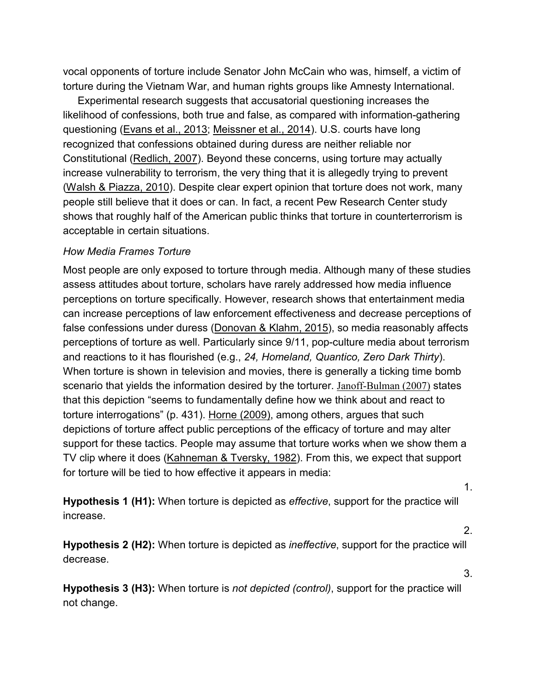vocal opponents of torture include Senator John McCain who was, himself, a victim of torture during the Vietnam War, and human rights groups like Amnesty International.

Experimental research suggests that accusatorial questioning increases the likelihood of confessions, both true and false, as compared with information-gathering questioning [\(Evans et al., 2013;](https://journals.sagepub.com/reader/content/1762545c3a7/10.1177/0011128717738230/format/epub/EPUB/xhtml/index.xhtml#bibr18-0011128717738230) [Meissner et al., 2014\)](https://journals.sagepub.com/reader/content/1762545c3a7/10.1177/0011128717738230/format/epub/EPUB/xhtml/index.xhtml#bibr36-0011128717738230). U.S. courts have long recognized that confessions obtained during duress are neither reliable nor Constitutional [\(Redlich, 2007\)](https://journals.sagepub.com/reader/content/1762545c3a7/10.1177/0011128717738230/format/epub/EPUB/xhtml/index.xhtml#bibr49-0011128717738230). Beyond these concerns, using torture may actually increase vulnerability to terrorism, the very thing that it is allegedly trying to prevent [\(Walsh & Piazza, 2010\)](https://journals.sagepub.com/reader/content/1762545c3a7/10.1177/0011128717738230/format/epub/EPUB/xhtml/index.xhtml#bibr61-0011128717738230). Despite clear expert opinion that torture does not work, many people still believe that it does or can. In fact, a recent Pew Research Center study shows that roughly half of the American public thinks that torture in counterterrorism is acceptable in certain situations.

#### *How Media Frames Torture*

Most people are only exposed to torture through media. Although many of these studies assess attitudes about torture, scholars have rarely addressed how media influence perceptions on torture specifically. However, research shows that entertainment media can increase perceptions of law enforcement effectiveness and decrease perceptions of false confessions under duress [\(Donovan & Klahm, 2015\)](https://journals.sagepub.com/reader/content/1762545c3a7/10.1177/0011128717738230/format/epub/EPUB/xhtml/index.xhtml#bibr13-0011128717738230), so media reasonably affects perceptions of torture as well. Particularly since 9/11, pop-culture media about terrorism and reactions to it has flourished (e.g., *24, Homeland, Quantico, Zero Dark Thirty*). When torture is shown in television and movies, there is generally a ticking time bomb scenario that yields the information desired by the torturer. [Janoff-Bulman \(2007\)](https://journals.sagepub.com/reader/content/1762545c3a7/10.1177/0011128717738230/format/epub/EPUB/xhtml/index.xhtml#bibr32-0011128717738230) states that this depiction "seems to fundamentally define how we think about and react to torture interrogations" (p. 431). [Horne \(2009\),](https://journals.sagepub.com/reader/content/1762545c3a7/10.1177/0011128717738230/format/epub/EPUB/xhtml/index.xhtml#bibr30-0011128717738230) among others, argues that such depictions of torture affect public perceptions of the efficacy of torture and may alter support for these tactics. People may assume that torture works when we show them a TV clip where it does [\(Kahneman & Tversky, 1982\)](https://journals.sagepub.com/reader/content/1762545c3a7/10.1177/0011128717738230/format/epub/EPUB/xhtml/index.xhtml#bibr33-0011128717738230). From this, we expect that support for torture will be tied to how effective it appears in media:

**Hypothesis 1 (H1):** When torture is depicted as *effective*, support for the practice will increase.

**Hypothesis 2 (H2):** When torture is depicted as *ineffective*, support for the practice will decrease.

**Hypothesis 3 (H3):** When torture is *not depicted (control)*, support for the practice will not change.

1.

2.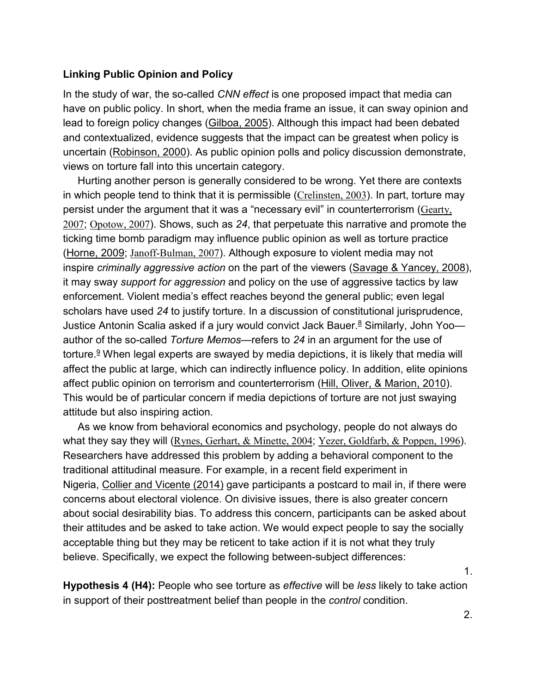#### **Linking Public Opinion and Policy**

In the study of war, the so-called *CNN effect* is one proposed impact that media can have on public policy. In short, when the media frame an issue, it can sway opinion and lead to foreign policy changes [\(Gilboa, 2005\)](https://journals.sagepub.com/reader/content/1762545c3a7/10.1177/0011128717738230/format/epub/EPUB/xhtml/index.xhtml#bibr23-0011128717738230). Although this impact had been debated and contextualized, evidence suggests that the impact can be greatest when policy is uncertain [\(Robinson, 2000\)](https://journals.sagepub.com/reader/content/1762545c3a7/10.1177/0011128717738230/format/epub/EPUB/xhtml/index.xhtml#bibr52-0011128717738230). As public opinion polls and policy discussion demonstrate, views on torture fall into this uncertain category.

Hurting another person is generally considered to be wrong. Yet there are contexts in which people tend to think that it is permissible ([Crelinsten, 2003](https://journals.sagepub.com/reader/content/1762545c3a7/10.1177/0011128717738230/format/epub/EPUB/xhtml/index.xhtml#bibr11-0011128717738230)). In part, torture may persist under the argument that it was a "necessary evil" in counterterrorism ([Gearty,](https://journals.sagepub.com/reader/content/1762545c3a7/10.1177/0011128717738230/format/epub/EPUB/xhtml/index.xhtml#bibr21-0011128717738230)  [2007](https://journals.sagepub.com/reader/content/1762545c3a7/10.1177/0011128717738230/format/epub/EPUB/xhtml/index.xhtml#bibr21-0011128717738230); [Opotow, 2007](https://journals.sagepub.com/reader/content/1762545c3a7/10.1177/0011128717738230/format/epub/EPUB/xhtml/index.xhtml#bibr44-0011128717738230)). Shows, such as *24*, that perpetuate this narrative and promote the ticking time bomb paradigm may influence public opinion as well as torture practice [\(Horne, 2009;](https://journals.sagepub.com/reader/content/1762545c3a7/10.1177/0011128717738230/format/epub/EPUB/xhtml/index.xhtml#bibr30-0011128717738230) [Janoff-Bulman, 2007](https://journals.sagepub.com/reader/content/1762545c3a7/10.1177/0011128717738230/format/epub/EPUB/xhtml/index.xhtml#bibr32-0011128717738230)). Although exposure to violent media may not inspire *criminally aggressive action* on the part of the viewers [\(Savage & Yancey, 2008\)](https://journals.sagepub.com/reader/content/1762545c3a7/10.1177/0011128717738230/format/epub/EPUB/xhtml/index.xhtml#bibr56-0011128717738230), it may sway *support for aggression* and policy on the use of aggressive tactics by law enforcement. Violent media's effect reaches beyond the general public; even legal scholars have used *24* to justify torture. In a discussion of constitutional jurisprudence, Justice Antonin Scalia asked if a jury would convict Jack Bauer.<sup>8</sup> Similarly, John Yoo author of the so-called *Torture Memos—*refers to *24* in an argument for the use of torture.<sup>9</sup> When legal experts are swayed by media depictions, it is likely that media will affect the public at large, which can indirectly influence policy. In addition, elite opinions affect public opinion on terrorism and counterterrorism [\(Hill, Oliver, & Marion, 2010\)](https://journals.sagepub.com/reader/content/1762545c3a7/10.1177/0011128717738230/format/epub/EPUB/xhtml/index.xhtml#bibr29-0011128717738230). This would be of particular concern if media depictions of torture are not just swaying attitude but also inspiring action.

As we know from behavioral economics and psychology, people do not always do what they say they will ([Rynes, Gerhart, & Minette, 2004](https://journals.sagepub.com/reader/content/1762545c3a7/10.1177/0011128717738230/format/epub/EPUB/xhtml/index.xhtml#bibr53-0011128717738230); [Yezer, Goldfarb, & Poppen, 1996](https://journals.sagepub.com/reader/content/1762545c3a7/10.1177/0011128717738230/format/epub/EPUB/xhtml/index.xhtml#bibr65-0011128717738230)). Researchers have addressed this problem by adding a behavioral component to the traditional attitudinal measure. For example, in a recent field experiment in Nigeria, [Collier and Vicente \(2014\)](https://journals.sagepub.com/reader/content/1762545c3a7/10.1177/0011128717738230/format/epub/EPUB/xhtml/index.xhtml#bibr9-0011128717738230) gave participants a postcard to mail in, if there were concerns about electoral violence. On divisive issues, there is also greater concern about social desirability bias. To address this concern, participants can be asked about their attitudes and be asked to take action. We would expect people to say the socially acceptable thing but they may be reticent to take action if it is not what they truly believe. Specifically, we expect the following between-subject differences:

**Hypothesis 4 (H4):** People who see torture as *effective* will be *less* likely to take action in support of their posttreatment belief than people in the *control* condition.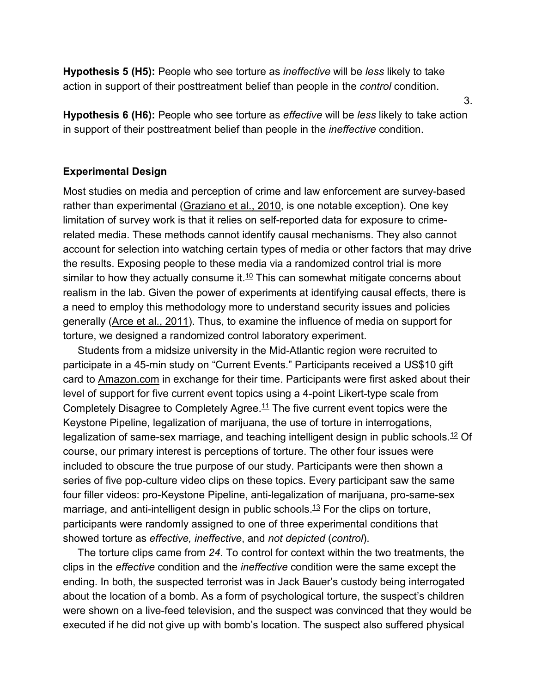**Hypothesis 5 (H5):** People who see torture as *ineffective* will be *less* likely to take action in support of their posttreatment belief than people in the *control* condition.

**Hypothesis 6 (H6):** People who see torture as *effective* will be *less* likely to take action in support of their posttreatment belief than people in the *ineffective* condition.

#### **Experimental Design**

Most studies on media and perception of crime and law enforcement are survey-based rather than experimental [\(Graziano et al., 2010,](https://journals.sagepub.com/reader/content/1762545c3a7/10.1177/0011128717738230/format/epub/EPUB/xhtml/index.xhtml#bibr26-0011128717738230) is one notable exception). One key limitation of survey work is that it relies on self-reported data for exposure to crimerelated media. These methods cannot identify causal mechanisms. They also cannot account for selection into watching certain types of media or other factors that may drive the results. Exposing people to these media via a randomized control trial is more similar to how they actually consume it. $10$  This can somewhat mitigate concerns about realism in the lab. Given the power of experiments at identifying causal effects, there is a need to employ this methodology more to understand security issues and policies generally [\(Arce et al., 2011\)](https://journals.sagepub.com/reader/content/1762545c3a7/10.1177/0011128717738230/format/epub/EPUB/xhtml/index.xhtml#bibr2-0011128717738230). Thus, to examine the influence of media on support for torture, we designed a randomized control laboratory experiment.

Students from a midsize university in the Mid-Atlantic region were recruited to participate in a 45-min study on "Current Events." Participants received a US\$10 gift card to [Amazon.com](http://amazon.com/) in exchange for their time. Participants were first asked about their level of support for five current event topics using a 4-point Likert-type scale from Completely Disagree to Completely Agree.<sup>11</sup> The five current event topics were the Keystone Pipeline, legalization of marijuana, the use of torture in interrogations, legalization of same-sex marriage, and teaching intelligent design in public schools.<sup>12</sup> Of course, our primary interest is perceptions of torture. The other four issues were included to obscure the true purpose of our study. Participants were then shown a series of five pop-culture video clips on these topics. Every participant saw the same four filler videos: pro-Keystone Pipeline, anti-legalization of marijuana, pro-same-sex marriage, and anti-intelligent design in public schools.<sup>13</sup> For the clips on torture, participants were randomly assigned to one of three experimental conditions that showed torture as *effective, ineffective*, and *not depicted* (*control*).

The torture clips came from *24*. To control for context within the two treatments, the clips in the *effective* condition and the *ineffective* condition were the same except the ending. In both, the suspected terrorist was in Jack Bauer's custody being interrogated about the location of a bomb. As a form of psychological torture, the suspect's children were shown on a live-feed television, and the suspect was convinced that they would be executed if he did not give up with bomb's location. The suspect also suffered physical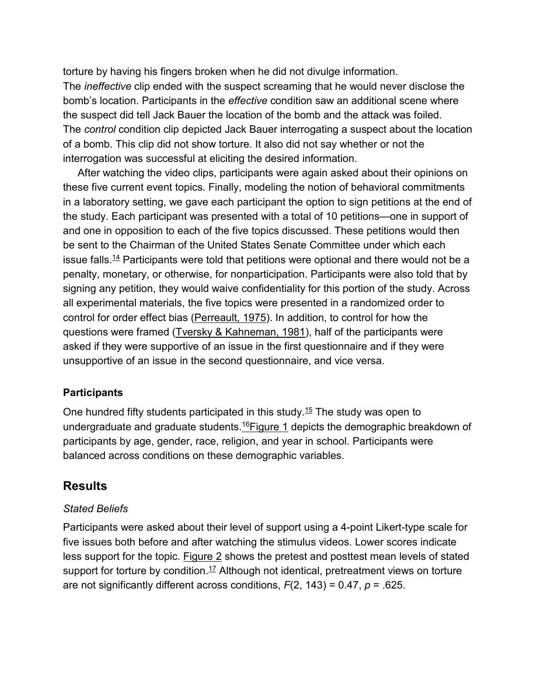torture by having his fingers broken when he did not divulge information. The *ineffective* clip ended with the suspect screaming that he would never disclose the bomb's location. Participants in the *effective* condition saw an additional scene where the suspect did tell Jack Bauer the location of the bomb and the attack was foiled. The *control* condition clip depicted Jack Bauer interrogating a suspect about the location of a bomb. This clip did not show torture. It also did not say whether or not the interrogation was successful at eliciting the desired information.

After watching the video clips, participants were again asked about their opinions on these five current event topics. Finally, modeling the notion of behavioral commitments in a laboratory setting, we gave each participant the option to sign petitions at the end of the study. Each participant was presented with a total of 10 petitions—one in support of and one in opposition to each of the five topics discussed. These petitions would then be sent to the Chairman of the United States Senate Committee under which each issue falls.<sup>14</sup> Participants were told that petitions were optional and there would not be a penalty, monetary, or otherwise, for nonparticipation. Participants were also told that by signing any petition, they would waive confidentiality for this portion of the study. Across all experimental materials, the five topics were presented in a randomized order to control for order effect bias [\(Perreault, 1975\)](https://journals.sagepub.com/reader/content/1762545c3a7/10.1177/0011128717738230/format/epub/EPUB/xhtml/index.xhtml#bibr45-0011128717738230). In addition, to control for how the questions were framed [\(Tversky & Kahneman, 1981\)](https://journals.sagepub.com/reader/content/1762545c3a7/10.1177/0011128717738230/format/epub/EPUB/xhtml/index.xhtml#bibr59-0011128717738230), half of the participants were asked if they were supportive of an issue in the first questionnaire and if they were unsupportive of an issue in the second questionnaire, and vice versa.

## **Participants**

One hundred fifty students participated in this study[.15](https://journals.sagepub.com/reader/content/1762545c3a7/10.1177/0011128717738230/format/epub/EPUB/xhtml/index.xhtml#fn15-0011128717738230) The study was open to undergraduate and graduate students.<sup>16</sup>[Figure 1](https://journals.sagepub.com/reader/content/1762545c3a7/10.1177/0011128717738230/format/epub/EPUB/xhtml/fig1-0011128717738230.xhtml) depicts the demographic breakdown of participants by age, gender, race, religion, and year in school. Participants were balanced across conditions on these demographic variables.

## **Results**

#### *Stated Beliefs*

Participants were asked about their level of support using a 4-point Likert-type scale for five issues both before and after watching the stimulus videos. Lower scores indicate less support for the topic. [Figure 2](https://journals.sagepub.com/reader/content/1762545c3a7/10.1177/0011128717738230/format/epub/EPUB/xhtml/fig2-0011128717738230.xhtml) shows the pretest and posttest mean levels of stated support for torture by condition.<sup>17</sup> Although not identical, pretreatment views on torture are not significantly different across conditions, *F*(2, 143) = 0.47, *p* = .625.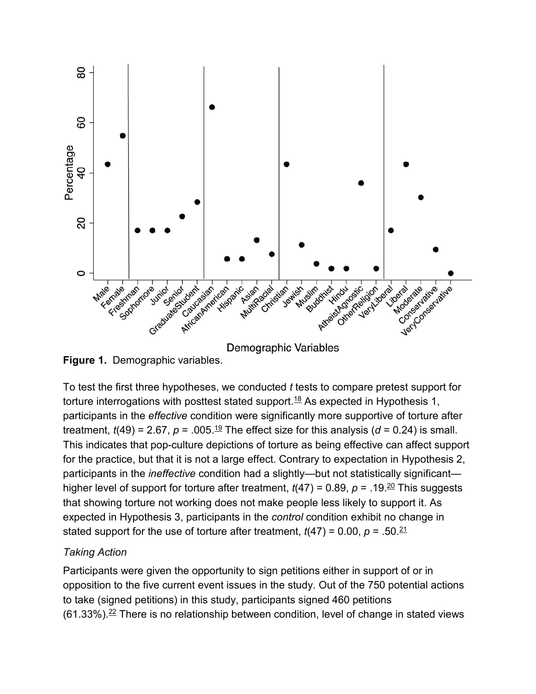

**Demographic Variables** 

**Figure 1.** Demographic variables.

To test the first three hypotheses, we conducted *t* tests to compare pretest support for torture interrogations with posttest stated support.<sup>18</sup> As expected in Hypothesis 1, participants in the *effective* condition were significantly more supportive of torture after treatment,  $t(49) = 2.67$ ,  $p = .005$ .<sup>19</sup> The effect size for this analysis ( $d = 0.24$ ) is small. This indicates that pop-culture depictions of torture as being effective can affect support for the practice, but that it is not a large effect. Contrary to expectation in Hypothesis 2, participants in the *ineffective* condition had a slightly—but not statistically significant higher level of support for torture after treatment,  $t(47) = 0.89$ ,  $p = .19$ .<sup>20</sup> This suggests that showing torture not working does not make people less likely to support it. As expected in Hypothesis 3, participants in the *control* condition exhibit no change in stated support for the use of torture after treatment,  $t(47) = 0.00$ ,  $p = .50$ .  $\frac{21}{10}$ 

# *Taking Action*

Participants were given the opportunity to sign petitions either in support of or in opposition to the five current event issues in the study. Out of the 750 potential actions to take (signed petitions) in this study, participants signed 460 petitions  $(61.33\%)$ .<sup>22</sup> There is no relationship between condition, level of change in stated views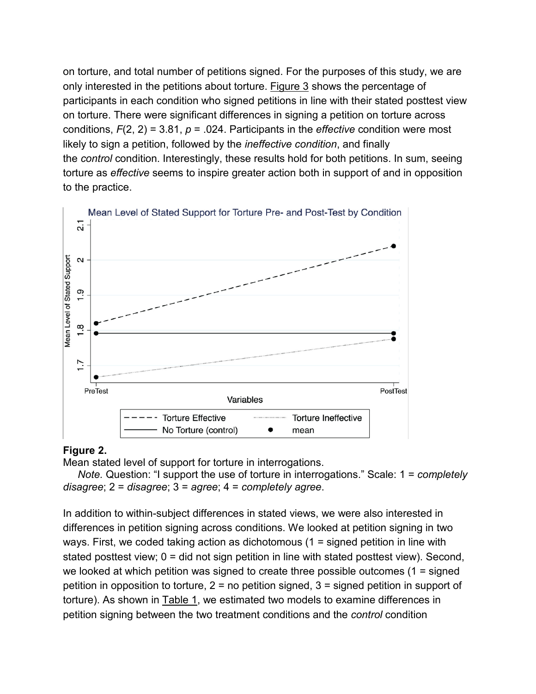on torture, and total number of petitions signed. For the purposes of this study, we are only interested in the petitions about torture. [Figure 3](https://journals.sagepub.com/reader/content/1762545c3a7/10.1177/0011128717738230/format/epub/EPUB/xhtml/fig3-0011128717738230.xhtml) shows the percentage of participants in each condition who signed petitions in line with their stated posttest view on torture. There were significant differences in signing a petition on torture across conditions, *F*(2, 2) = 3.81, *p* = .024. Participants in the *effective* condition were most likely to sign a petition, followed by the *ineffective condition*, and finally the *control* condition. Interestingly, these results hold for both petitions. In sum, seeing torture as *effective* seems to inspire greater action both in support of and in opposition to the practice.



## **Figure 2.**

Mean stated level of support for torture in interrogations.

*Note.* Question: "I support the use of torture in interrogations." Scale: 1 = *completely disagree*; 2 = *disagree*; 3 = *agree*; 4 = *completely agree*.

In addition to within-subject differences in stated views, we were also interested in differences in petition signing across conditions. We looked at petition signing in two ways. First, we coded taking action as dichotomous (1 = signed petition in line with stated posttest view; 0 = did not sign petition in line with stated posttest view). Second, we looked at which petition was signed to create three possible outcomes (1 = signed petition in opposition to torture, 2 = no petition signed, 3 = signed petition in support of torture). As shown in **Table 1**, we estimated two models to examine differences in petition signing between the two treatment conditions and the *control* condition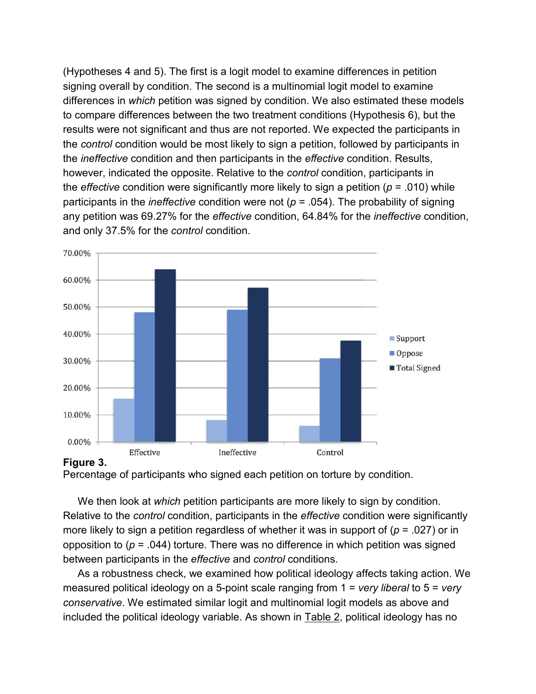(Hypotheses 4 and 5). The first is a logit model to examine differences in petition signing overall by condition. The second is a multinomial logit model to examine differences in *which* petition was signed by condition. We also estimated these models to compare differences between the two treatment conditions (Hypothesis 6), but the results were not significant and thus are not reported. We expected the participants in the *control* condition would be most likely to sign a petition, followed by participants in the *ineffective* condition and then participants in the *effective* condition. Results, however, indicated the opposite. Relative to the *control* condition, participants in the *effective* condition were significantly more likely to sign a petition (*p* = .010) while participants in the *ineffective* condition were not (*p* = .054). The probability of signing any petition was 69.27% for the *effective* condition, 64.84% for the *ineffective* condition, and only 37.5% for the *control* condition.





Percentage of participants who signed each petition on torture by condition.

We then look at *which* petition participants are more likely to sign by condition. Relative to the *control* condition, participants in the *effective* condition were significantly more likely to sign a petition regardless of whether it was in support of (*p* = .027) or in opposition to ( $p = .044$ ) torture. There was no difference in which petition was signed between participants in the *effective* and *control* conditions.

As a robustness check, we examined how political ideology affects taking action. We measured political ideology on a 5-point scale ranging from 1 = *very liberal* to 5 = *very conservative*. We estimated similar logit and multinomial logit models as above and included the political ideology variable. As shown in **Table 2**, political ideology has no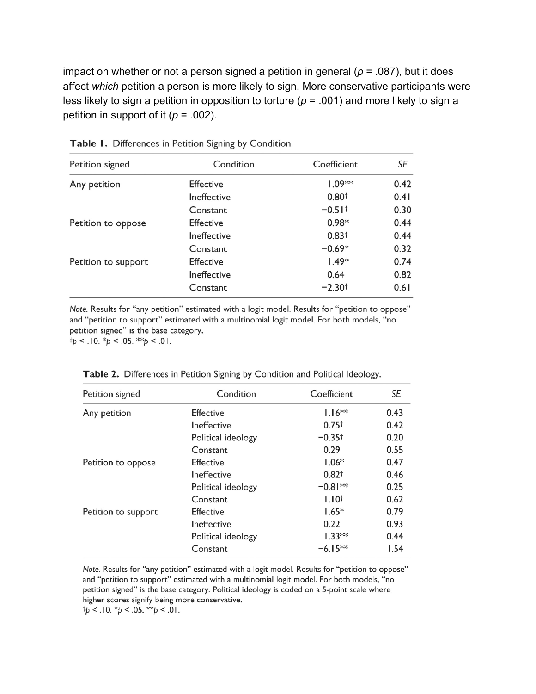impact on whether or not a person signed a petition in general ( $p = .087$ ), but it does affect *which* petition a person is more likely to sign. More conservative participants were less likely to sign a petition in opposition to torture (*p* = .001) and more likely to sign a petition in support of it  $(p = .002)$ .

| Petition signed     | Condition        | Coefficient          | SE   |
|---------------------|------------------|----------------------|------|
| Any petition        | <b>Effective</b> | $1.09**$             | 0.42 |
|                     | Ineffective      | 0.80 <sup>†</sup>    | 0.41 |
|                     | Constant         | $-0.51$ <sup>+</sup> | 0.30 |
| Petition to oppose  | <b>Effective</b> | $0.98*$              | 0.44 |
|                     | Ineffective      | 0.83 <sup>†</sup>    | 0.44 |
|                     | Constant         | $-0.69*$             | 0.32 |
| Petition to support | <b>Effective</b> | $1.49*$              | 0.74 |
|                     | Ineffective      | 0.64                 | 0.82 |
|                     | Constant         | $-2.30†$             | 0.61 |

Table 1. Differences in Petition Signing by Condition.

Note. Results for "any petition" estimated with a logit model. Results for "petition to oppose" and "petition to support" estimated with a multinomial logit model. For both models, "no petition signed" is the base category.

 $\dagger p < .10. \dagger p < .05. \dagger \dagger p < .01.$ 

| Petition signed     | Condition          | Coefficient       | SE   |
|---------------------|--------------------|-------------------|------|
| Any petition        | <b>Effective</b>   | $1.16**$          | 0.43 |
|                     | Ineffective        | 0.75 <sup>†</sup> | 0.42 |
|                     | Political ideology | $-0.35^+$         | 0.20 |
|                     | Constant           | 0.29              | 0.55 |
| Petition to oppose  | <b>Effective</b>   | $1.06*$           | 0.47 |
|                     | Ineffective        | $0.82^{+}$        | 0.46 |
|                     | Political ideology | $-0.81**$         | 0.25 |
|                     | Constant           | $1.10^{+}$        | 0.62 |
| Petition to support | <b>Effective</b>   | $1.65*$           | 0.79 |
|                     | Ineffective        | 0.22              | 0.93 |
|                     | Political ideology | $1.33**$          | 0.44 |
|                     | Constant           | $-6.15**$         | 1.54 |

Table 2. Differences in Petition Signing by Condition and Political Ideology.

Note. Results for "any petition" estimated with a logit model. Results for "petition to oppose" and "petition to support" estimated with a multinomial logit model. For both models, "no petition signed" is the base category. Political ideology is coded on a 5-point scale where higher scores signify being more conservative.

 $tp < .10.$  \*p < .05. \*\*p < .01.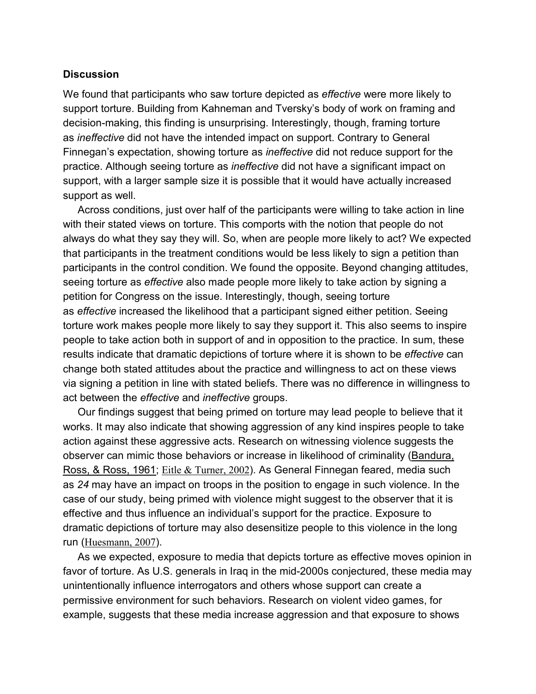#### **Discussion**

We found that participants who saw torture depicted as *effective* were more likely to support torture. Building from Kahneman and Tversky's body of work on framing and decision-making, this finding is unsurprising. Interestingly, though, framing torture as *ineffective* did not have the intended impact on support. Contrary to General Finnegan's expectation, showing torture as *ineffective* did not reduce support for the practice. Although seeing torture as *ineffective* did not have a significant impact on support, with a larger sample size it is possible that it would have actually increased support as well.

Across conditions, just over half of the participants were willing to take action in line with their stated views on torture. This comports with the notion that people do not always do what they say they will. So, when are people more likely to act? We expected that participants in the treatment conditions would be less likely to sign a petition than participants in the control condition. We found the opposite. Beyond changing attitudes, seeing torture as *effective* also made people more likely to take action by signing a petition for Congress on the issue. Interestingly, though, seeing torture as *effective* increased the likelihood that a participant signed either petition. Seeing torture work makes people more likely to say they support it. This also seems to inspire people to take action both in support of and in opposition to the practice. In sum, these results indicate that dramatic depictions of torture where it is shown to be *effective* can change both stated attitudes about the practice and willingness to act on these views via signing a petition in line with stated beliefs. There was no difference in willingness to act between the *effective* and *ineffective* groups.

Our findings suggest that being primed on torture may lead people to believe that it works. It may also indicate that showing aggression of any kind inspires people to take action against these aggressive acts. Research on witnessing violence suggests the observer can mimic those behaviors or increase in likelihood of criminality [\(Bandura,](https://journals.sagepub.com/reader/content/1762545c3a7/10.1177/0011128717738230/format/epub/EPUB/xhtml/index.xhtml#bibr4-0011128717738230)  [Ross, & Ross, 1961;](https://journals.sagepub.com/reader/content/1762545c3a7/10.1177/0011128717738230/format/epub/EPUB/xhtml/index.xhtml#bibr4-0011128717738230) [Eitle & Turner, 2002](https://journals.sagepub.com/reader/content/1762545c3a7/10.1177/0011128717738230/format/epub/EPUB/xhtml/index.xhtml#bibr16-0011128717738230)). As General Finnegan feared, media such as *24* may have an impact on troops in the position to engage in such violence. In the case of our study, being primed with violence might suggest to the observer that it is effective and thus influence an individual's support for the practice. Exposure to dramatic depictions of torture may also desensitize people to this violence in the long run ([Huesmann, 2007](https://journals.sagepub.com/reader/content/1762545c3a7/10.1177/0011128717738230/format/epub/EPUB/xhtml/index.xhtml#bibr31-0011128717738230)).

As we expected, exposure to media that depicts torture as effective moves opinion in favor of torture. As U.S. generals in Iraq in the mid-2000s conjectured, these media may unintentionally influence interrogators and others whose support can create a permissive environment for such behaviors. Research on violent video games, for example, suggests that these media increase aggression and that exposure to shows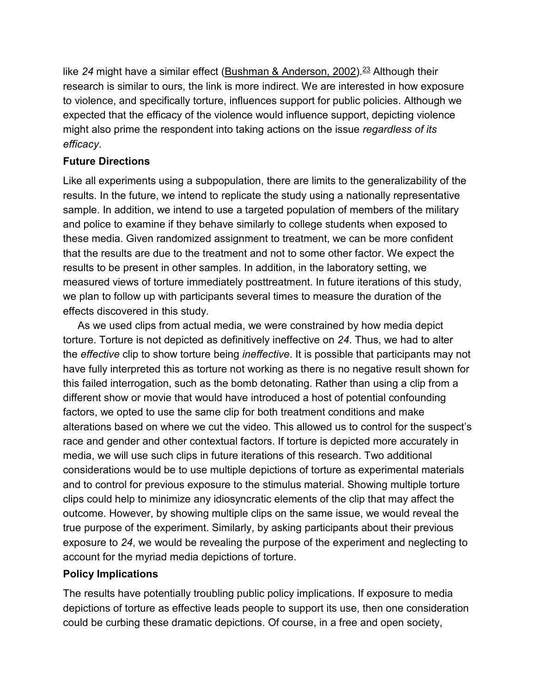like 24 might have a similar effect [\(Bushman & Anderson, 2002\)](https://journals.sagepub.com/reader/content/1762545c3a7/10.1177/0011128717738230/format/epub/EPUB/xhtml/index.xhtml#bibr5-0011128717738230).<sup>23</sup> Although their research is similar to ours, the link is more indirect. We are interested in how exposure to violence, and specifically torture, influences support for public policies. Although we expected that the efficacy of the violence would influence support, depicting violence might also prime the respondent into taking actions on the issue *regardless of its efficacy*.

## **Future Directions**

Like all experiments using a subpopulation, there are limits to the generalizability of the results. In the future, we intend to replicate the study using a nationally representative sample. In addition, we intend to use a targeted population of members of the military and police to examine if they behave similarly to college students when exposed to these media. Given randomized assignment to treatment, we can be more confident that the results are due to the treatment and not to some other factor. We expect the results to be present in other samples. In addition, in the laboratory setting, we measured views of torture immediately posttreatment. In future iterations of this study, we plan to follow up with participants several times to measure the duration of the effects discovered in this study.

As we used clips from actual media, we were constrained by how media depict torture. Torture is not depicted as definitively ineffective on *24*. Thus, we had to alter the *effective* clip to show torture being *ineffective*. It is possible that participants may not have fully interpreted this as torture not working as there is no negative result shown for this failed interrogation, such as the bomb detonating. Rather than using a clip from a different show or movie that would have introduced a host of potential confounding factors, we opted to use the same clip for both treatment conditions and make alterations based on where we cut the video. This allowed us to control for the suspect's race and gender and other contextual factors. If torture is depicted more accurately in media, we will use such clips in future iterations of this research. Two additional considerations would be to use multiple depictions of torture as experimental materials and to control for previous exposure to the stimulus material. Showing multiple torture clips could help to minimize any idiosyncratic elements of the clip that may affect the outcome. However, by showing multiple clips on the same issue, we would reveal the true purpose of the experiment. Similarly, by asking participants about their previous exposure to *24*, we would be revealing the purpose of the experiment and neglecting to account for the myriad media depictions of torture.

## **Policy Implications**

The results have potentially troubling public policy implications. If exposure to media depictions of torture as effective leads people to support its use, then one consideration could be curbing these dramatic depictions. Of course, in a free and open society,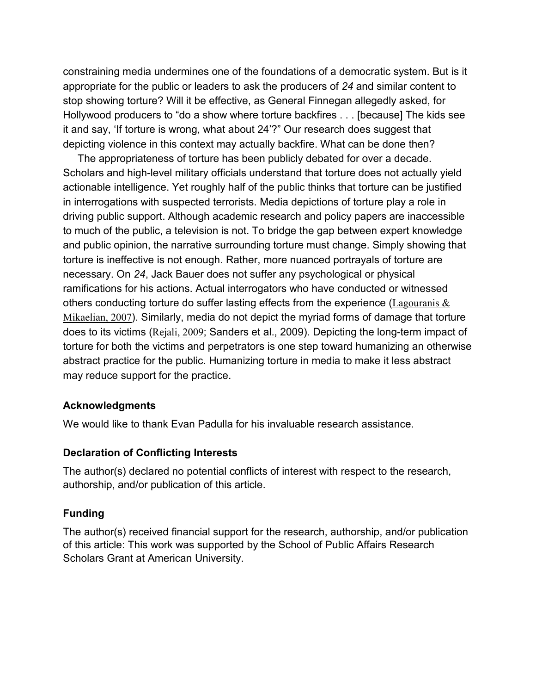constraining media undermines one of the foundations of a democratic system. But is it appropriate for the public or leaders to ask the producers of *24* and similar content to stop showing torture? Will it be effective, as General Finnegan allegedly asked, for Hollywood producers to "do a show where torture backfires . . . [because] The kids see it and say, 'If torture is wrong, what about 24'?" Our research does suggest that depicting violence in this context may actually backfire. What can be done then?

The appropriateness of torture has been publicly debated for over a decade. Scholars and high-level military officials understand that torture does not actually yield actionable intelligence. Yet roughly half of the public thinks that torture can be justified in interrogations with suspected terrorists. Media depictions of torture play a role in driving public support. Although academic research and policy papers are inaccessible to much of the public, a television is not. To bridge the gap between expert knowledge and public opinion, the narrative surrounding torture must change. Simply showing that torture is ineffective is not enough. Rather, more nuanced portrayals of torture are necessary. On *24*, Jack Bauer does not suffer any psychological or physical ramifications for his actions. Actual interrogators who have conducted or witnessed others conducting torture do suffer lasting effects from the experience ( $\text{Lagouranis} \& \text{ }$ [Mikaelian, 2007](https://journals.sagepub.com/reader/content/1762545c3a7/10.1177/0011128717738230/format/epub/EPUB/xhtml/index.xhtml#bibr35-0011128717738230)). Similarly, media do not depict the myriad forms of damage that torture does to its victims ([Rejali, 2009](https://journals.sagepub.com/reader/content/1762545c3a7/10.1177/0011128717738230/format/epub/EPUB/xhtml/index.xhtml#bibr50-0011128717738230); [Sanders et al., 2009\)](https://journals.sagepub.com/reader/content/1762545c3a7/10.1177/0011128717738230/format/epub/EPUB/xhtml/index.xhtml#bibr54-0011128717738230). Depicting the long-term impact of torture for both the victims and perpetrators is one step toward humanizing an otherwise abstract practice for the public. Humanizing torture in media to make it less abstract may reduce support for the practice.

#### **Acknowledgments**

We would like to thank Evan Padulla for his invaluable research assistance.

#### **Declaration of Conflicting Interests**

The author(s) declared no potential conflicts of interest with respect to the research, authorship, and/or publication of this article.

#### **Funding**

The author(s) received financial support for the research, authorship, and/or publication of this article: This work was supported by the School of Public Affairs Research Scholars Grant at American University.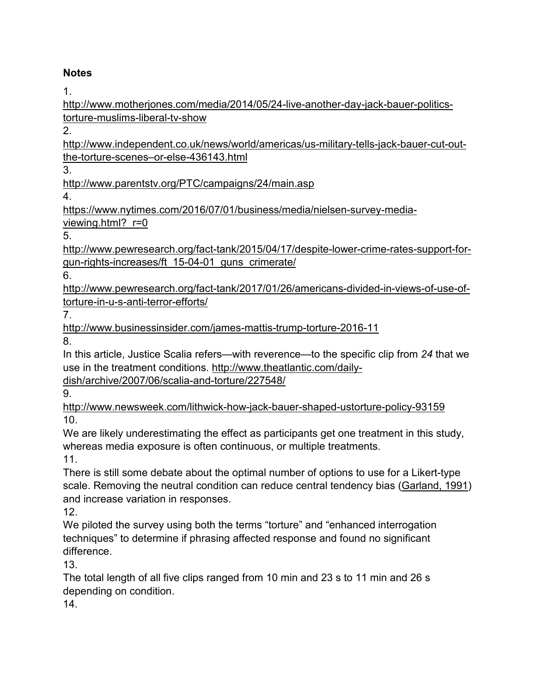# **Notes**

1.

[http://www.motherjones.com/media/2014/05/24-live-another-day-jack-bauer-politics](http://www.motherjones.com/media/2014/05/24-live-another-day-jack-bauer-politics-torture-muslims-liberal-tv-show)[torture-muslims-liberal-tv-show](http://www.motherjones.com/media/2014/05/24-live-another-day-jack-bauer-politics-torture-muslims-liberal-tv-show)

2.

[http://www.independent.co.uk/news/world/americas/us-military-tells-jack-bauer-cut-out](http://www.independent.co.uk/news/world/americas/us-military-tells-jack-bauer-cut-out-the-torture-scenes%E2%80%93or-else-436143.html)[the-torture-scenes–or-else-436143.html](http://www.independent.co.uk/news/world/americas/us-military-tells-jack-bauer-cut-out-the-torture-scenes%E2%80%93or-else-436143.html)

3.

<http://www.parentstv.org/PTC/campaigns/24/main.asp>

4.

[https://www.nytimes.com/2016/07/01/business/media/nielsen-survey-media](https://www.nytimes.com/2016/07/01/business/media/nielsen-survey-media-viewing.html?_r=0)viewing.html? r=0

5.

[http://www.pewresearch.org/fact-tank/2015/04/17/despite-lower-crime-rates-support-for](http://www.pewresearch.org/fact-tank/2015/04/17/despite-lower-crime-rates-support-for-gun-rights-increases/ft_15-04-01_guns_crimerate/)[gun-rights-increases/ft\\_15-04-01\\_guns\\_crimerate/](http://www.pewresearch.org/fact-tank/2015/04/17/despite-lower-crime-rates-support-for-gun-rights-increases/ft_15-04-01_guns_crimerate/)

6.

[http://www.pewresearch.org/fact-tank/2017/01/26/americans-divided-in-views-of-use-of](http://www.pewresearch.org/fact-tank/2017/01/26/americans-divided-in-views-of-use-of-torture-in-u-s-anti-terror-efforts/)[torture-in-u-s-anti-terror-efforts/](http://www.pewresearch.org/fact-tank/2017/01/26/americans-divided-in-views-of-use-of-torture-in-u-s-anti-terror-efforts/)

7.

<http://www.businessinsider.com/james-mattis-trump-torture-2016-11>

8.

In this article, Justice Scalia refers—with reverence—to the specific clip from *24* that we use in the treatment conditions. [http://www.theatlantic.com/daily-](http://www.theatlantic.com/daily-dish/archive/2007/06/scalia-and-torture/227548/)

[dish/archive/2007/06/scalia-and-torture/227548/](http://www.theatlantic.com/daily-dish/archive/2007/06/scalia-and-torture/227548/)

9.

<http://www.newsweek.com/lithwick-how-jack-bauer-shaped-ustorture-policy-93159> 10.

We are likely underestimating the effect as participants get one treatment in this study, whereas media exposure is often continuous, or multiple treatments.

11.

There is still some debate about the optimal number of options to use for a Likert-type scale. Removing the neutral condition can reduce central tendency bias [\(Garland, 1991\)](https://journals.sagepub.com/reader/content/1762545c3a7/10.1177/0011128717738230/format/epub/EPUB/xhtml/index.xhtml#bibr20-0011128717738230) and increase variation in responses.

12.

We piloted the survey using both the terms "torture" and "enhanced interrogation techniques" to determine if phrasing affected response and found no significant difference.

13.

The total length of all five clips ranged from 10 min and 23 s to 11 min and 26 s depending on condition.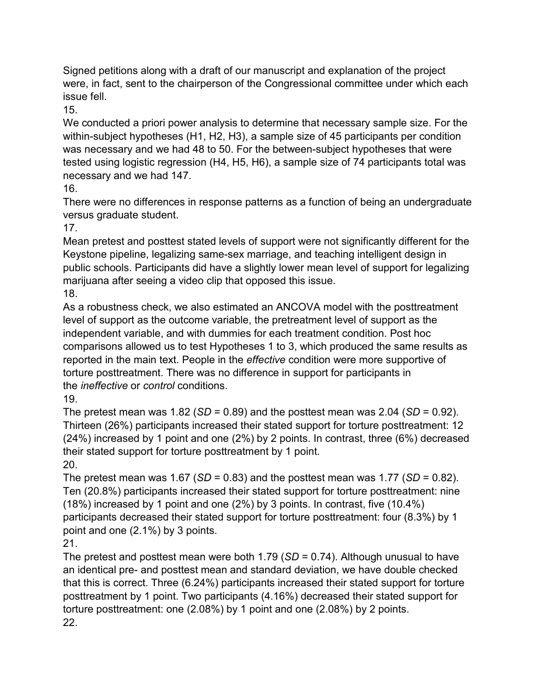Signed petitions along with a draft of our manuscript and explanation of the project were, in fact, sent to the chairperson of the Congressional committee under which each issue fell.

15.

We conducted a priori power analysis to determine that necessary sample size. For the within-subject hypotheses (H1, H2, H3), a sample size of 45 participants per condition was necessary and we had 48 to 50. For the between-subject hypotheses that were tested using logistic regression (H4, H5, H6), a sample size of 74 participants total was necessary and we had 147.

16.

There were no differences in response patterns as a function of being an undergraduate versus graduate student.

17.

Mean pretest and posttest stated levels of support were not significantly different for the Keystone pipeline, legalizing same-sex marriage, and teaching intelligent design in public schools. Participants did have a slightly lower mean level of support for legalizing marijuana after seeing a video clip that opposed this issue.

18.

As a robustness check, we also estimated an ANCOVA model with the posttreatment level of support as the outcome variable, the pretreatment level of support as the independent variable, and with dummies for each treatment condition. Post hoc comparisons allowed us to test Hypotheses 1 to 3, which produced the same results as reported in the main text. People in the *effective* condition were more supportive of torture posttreatment. There was no difference in support for participants in the *ineffective* or *control* conditions.

19.

The pretest mean was  $1.82$  (*SD* = 0.89) and the posttest mean was  $2.04$  (*SD* = 0.92). Thirteen (26%) participants increased their stated support for torture posttreatment: 12 (24%) increased by 1 point and one (2%) by 2 points. In contrast, three (6%) decreased their stated support for torture posttreatment by 1 point. 20.

The pretest mean was  $1.67$  (*SD* = 0.83) and the posttest mean was  $1.77$  (*SD* = 0.82). Ten (20.8%) participants increased their stated support for torture posttreatment: nine (18%) increased by 1 point and one (2%) by 3 points. In contrast, five (10.4%) participants decreased their stated support for torture posttreatment: four (8.3%) by 1 point and one (2.1%) by 3 points.

21.

The pretest and posttest mean were both 1.79 (*SD* = 0.74). Although unusual to have an identical pre- and posttest mean and standard deviation, we have double checked that this is correct. Three (6.24%) participants increased their stated support for torture posttreatment by 1 point. Two participants (4.16%) decreased their stated support for torture posttreatment: one (2.08%) by 1 point and one (2.08%) by 2 points. 22.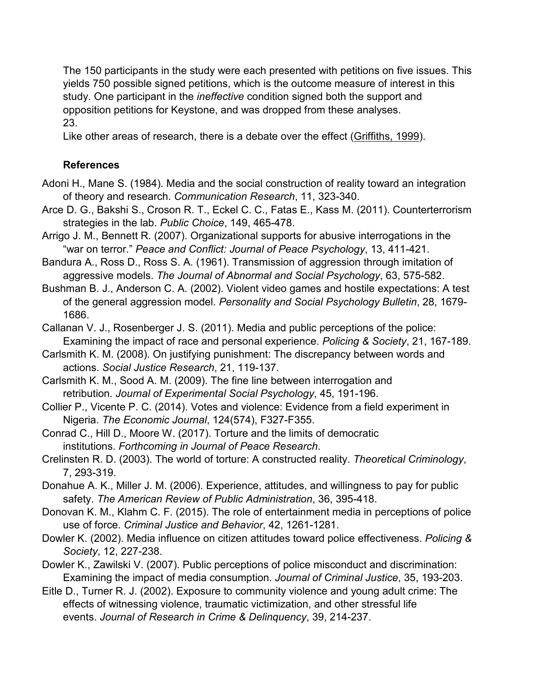The 150 participants in the study were each presented with petitions on five issues. This yields 750 possible signed petitions, which is the outcome measure of interest in this study. One participant in the *ineffective* condition signed both the support and opposition petitions for Keystone, and was dropped from these analyses. 23.

Like other areas of research, there is a debate over the effect [\(Griffiths, 1999\)](https://journals.sagepub.com/reader/content/1762545c3a7/10.1177/0011128717738230/format/epub/EPUB/xhtml/index.xhtml#bibr27-0011128717738230).

# **References**

- Adoni H., Mane S. (1984). Media and the social construction of reality toward an integration of theory and research. *Communication Research*, 11, 323-340.
- Arce D. G., Bakshi S., Croson R. T., Eckel C. C., Fatas E., Kass M. (2011). Counterterrorism strategies in the lab. *Public Choice*, 149, 465-478.
- Arrigo J. M., Bennett R. (2007). Organizational supports for abusive interrogations in the "war on terror." *Peace and Conflict: Journal of Peace Psychology*, 13, 411-421.
- Bandura A., Ross D., Ross S. A. (1961). Transmission of aggression through imitation of aggressive models. *The Journal of Abnormal and Social Psychology*, 63, 575-582.
- Bushman B. J., Anderson C. A. (2002). Violent video games and hostile expectations: A test of the general aggression model. *Personality and Social Psychology Bulletin*, 28, 1679- 1686.
- Callanan V. J., Rosenberger J. S. (2011). Media and public perceptions of the police: Examining the impact of race and personal experience. *Policing & Society*, 21, 167-189.
- Carlsmith K. M. (2008). On justifying punishment: The discrepancy between words and actions. *Social Justice Research*, 21, 119-137.
- Carlsmith K. M., Sood A. M. (2009). The fine line between interrogation and retribution. *Journal of Experimental Social Psychology*, 45, 191-196.
- Collier P., Vicente P. C. (2014). Votes and violence: Evidence from a field experiment in Nigeria. *The Economic Journal*, 124(574), F327-F355.
- Conrad C., Hill D., Moore W. (2017). Torture and the limits of democratic institutions. *Forthcoming in Journal of Peace Research*.
- Crelinsten R. D. (2003). The world of torture: A constructed reality. *Theoretical Criminology*, 7, 293-319.
- Donahue A. K., Miller J. M. (2006). Experience, attitudes, and willingness to pay for public safety. *The American Review of Public Administration*, 36, 395-418.
- Donovan K. M., Klahm C. F. (2015). The role of entertainment media in perceptions of police use of force. *Criminal Justice and Behavior*, 42, 1261-1281.
- Dowler K. (2002). Media influence on citizen attitudes toward police effectiveness. *Policing & Society*, 12, 227-238.
- Dowler K., Zawilski V. (2007). Public perceptions of police misconduct and discrimination: Examining the impact of media consumption. *Journal of Criminal Justice*, 35, 193-203.
- Eitle D., Turner R. J. (2002). Exposure to community violence and young adult crime: The effects of witnessing violence, traumatic victimization, and other stressful life events. *Journal of Research in Crime & Delinquency*, 39, 214-237.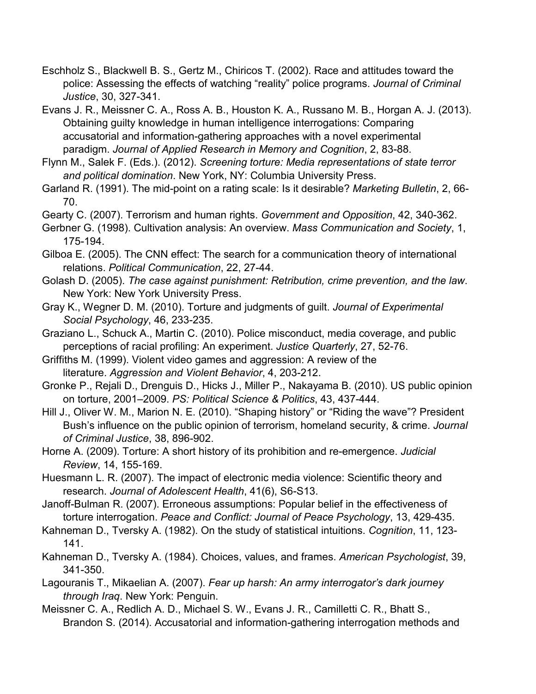- Eschholz S., Blackwell B. S., Gertz M., Chiricos T. (2002). Race and attitudes toward the police: Assessing the effects of watching "reality" police programs. *Journal of Criminal Justice*, 30, 327-341.
- Evans J. R., Meissner C. A., Ross A. B., Houston K. A., Russano M. B., Horgan A. J. (2013). Obtaining guilty knowledge in human intelligence interrogations: Comparing accusatorial and information-gathering approaches with a novel experimental paradigm. *Journal of Applied Research in Memory and Cognition*, 2, 83-88.
- Flynn M., Salek F. (Eds.). (2012). *Screening torture: Media representations of state terror and political domination*. New York, NY: Columbia University Press.
- Garland R. (1991). The mid-point on a rating scale: Is it desirable? *Marketing Bulletin*, 2, 66- 70.
- Gearty C. (2007). Terrorism and human rights. *Government and Opposition*, 42, 340-362.
- Gerbner G. (1998). Cultivation analysis: An overview. *Mass Communication and Society*, 1, 175-194.
- Gilboa E. (2005). The CNN effect: The search for a communication theory of international relations. *Political Communication*, 22, 27-44.
- Golash D. (2005). *The case against punishment: Retribution, crime prevention, and the law*. New York: New York University Press.
- Gray K., Wegner D. M. (2010). Torture and judgments of guilt. *Journal of Experimental Social Psychology*, 46, 233-235.
- Graziano L., Schuck A., Martin C. (2010). Police misconduct, media coverage, and public perceptions of racial profiling: An experiment. *Justice Quarterly*, 27, 52-76.
- Griffiths M. (1999). Violent video games and aggression: A review of the literature. *Aggression and Violent Behavior*, 4, 203-212.
- Gronke P., Rejali D., Drenguis D., Hicks J., Miller P., Nakayama B. (2010). US public opinion on torture, 2001–2009. *PS: Political Science & Politics*, 43, 437-444.
- Hill J., Oliver W. M., Marion N. E. (2010). "Shaping history" or "Riding the wave"? President Bush's influence on the public opinion of terrorism, homeland security, & crime. *Journal of Criminal Justice*, 38, 896-902.
- Horne A. (2009). Torture: A short history of its prohibition and re-emergence. *Judicial Review*, 14, 155-169.
- Huesmann L. R. (2007). The impact of electronic media violence: Scientific theory and research. *Journal of Adolescent Health*, 41(6), S6-S13.
- Janoff-Bulman R. (2007). Erroneous assumptions: Popular belief in the effectiveness of torture interrogation. *Peace and Conflict: Journal of Peace Psychology*, 13, 429-435.
- Kahneman D., Tversky A. (1982). On the study of statistical intuitions. *Cognition*, 11, 123- 141.
- Kahneman D., Tversky A. (1984). Choices, values, and frames. *American Psychologist*, 39, 341-350.
- Lagouranis T., Mikaelian A. (2007). *Fear up harsh: An army interrogator's dark journey through Iraq*. New York: Penguin.
- Meissner C. A., Redlich A. D., Michael S. W., Evans J. R., Camilletti C. R., Bhatt S., Brandon S. (2014). Accusatorial and information-gathering interrogation methods and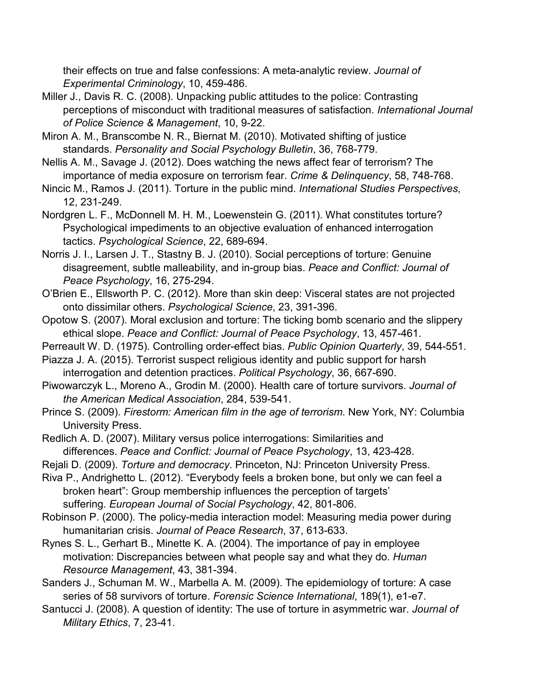their effects on true and false confessions: A meta-analytic review. *Journal of Experimental Criminology*, 10, 459-486.

- Miller J., Davis R. C. (2008). Unpacking public attitudes to the police: Contrasting perceptions of misconduct with traditional measures of satisfaction. *International Journal of Police Science & Management*, 10, 9-22.
- Miron A. M., Branscombe N. R., Biernat M. (2010). Motivated shifting of justice standards. *Personality and Social Psychology Bulletin*, 36, 768-779.
- Nellis A. M., Savage J. (2012). Does watching the news affect fear of terrorism? The importance of media exposure on terrorism fear. *Crime & Delinquency*, 58, 748-768.
- Nincic M., Ramos J. (2011). Torture in the public mind. *International Studies Perspectives*, 12, 231-249.
- Nordgren L. F., McDonnell M. H. M., Loewenstein G. (2011). What constitutes torture? Psychological impediments to an objective evaluation of enhanced interrogation tactics. *Psychological Science*, 22, 689-694.
- Norris J. I., Larsen J. T., Stastny B. J. (2010). Social perceptions of torture: Genuine disagreement, subtle malleability, and in-group bias. *Peace and Conflict: Journal of Peace Psychology*, 16, 275-294.
- O'Brien E., Ellsworth P. C. (2012). More than skin deep: Visceral states are not projected onto dissimilar others. *Psychological Science*, 23, 391-396.
- Opotow S. (2007). Moral exclusion and torture: The ticking bomb scenario and the slippery ethical slope. *Peace and Conflict: Journal of Peace Psychology*, 13, 457-461.
- Perreault W. D. (1975). Controlling order-effect bias. *Public Opinion Quarterly*, 39, 544-551.
- Piazza J. A. (2015). Terrorist suspect religious identity and public support for harsh interrogation and detention practices. *Political Psychology*, 36, 667-690.
- Piwowarczyk L., Moreno A., Grodin M. (2000). Health care of torture survivors. *Journal of the American Medical Association*, 284, 539-541.
- Prince S. (2009). *Firestorm: American film in the age of terrorism*. New York, NY: Columbia University Press.
- Redlich A. D. (2007). Military versus police interrogations: Similarities and differences. *Peace and Conflict: Journal of Peace Psychology*, 13, 423-428.
- Rejali D. (2009). *Torture and democracy*. Princeton, NJ: Princeton University Press.
- Riva P., Andrighetto L. (2012). "Everybody feels a broken bone, but only we can feel a broken heart": Group membership influences the perception of targets' suffering. *European Journal of Social Psychology*, 42, 801-806.
- Robinson P. (2000). The policy-media interaction model: Measuring media power during humanitarian crisis. *Journal of Peace Research*, 37, 613-633.
- Rynes S. L., Gerhart B., Minette K. A. (2004). The importance of pay in employee motivation: Discrepancies between what people say and what they do. *Human Resource Management*, 43, 381-394.
- Sanders J., Schuman M. W., Marbella A. M. (2009). The epidemiology of torture: A case series of 58 survivors of torture. *Forensic Science International*, 189(1), e1-e7.
- Santucci J. (2008). A question of identity: The use of torture in asymmetric war. *Journal of Military Ethics*, 7, 23-41.